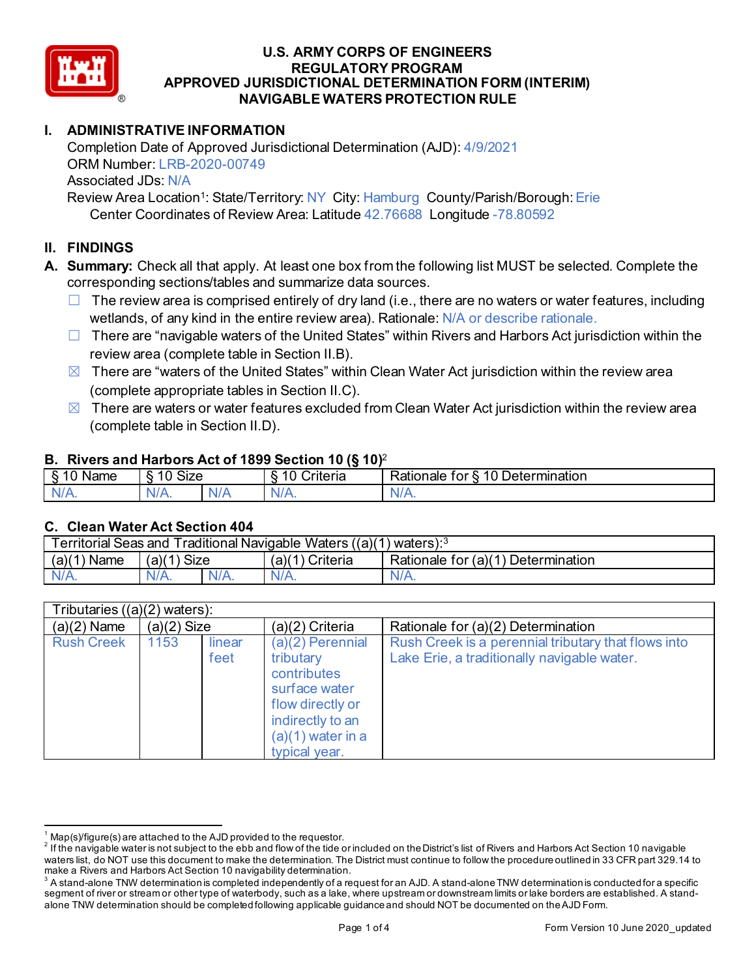

## **I. ADMINISTRATIVE INFORMATION**

Completion Date of Approved Jurisdictional Determination (AJD): 4/9/2021 ORM Number: LRB-2020-00749 Associated JDs: N/A Review Area Location<sup>1</sup>: State/Territory: NY City: Hamburg County/Parish/Borough: Erie

Center Coordinates of Review Area: Latitude 42.76688 Longitude -78.80592

## **II. FINDINGS**

- **A. Summary:** Check all that apply. At least one box from the following list MUST be selected. Complete the corresponding sections/tables and summarize data sources.
	- $\Box$  The review area is comprised entirely of dry land (i.e., there are no waters or water features, including wetlands, of any kind in the entire review area). Rationale: N/A or describe rationale.
	- $\Box$  There are "navigable waters of the United States" within Rivers and Harbors Act jurisdiction within the review area (complete table in Section II.B).
	- $\boxtimes$  There are "waters of the United States" within Clean Water Act jurisdiction within the review area (complete appropriate tables in Section II.C).
	- $\boxtimes$  There are waters or water features excluded from Clean Water Act jurisdiction within the review area (complete table in Section II.D).

#### **B. Rivers and Harbors Act of 1899 Section 10 (§ 10)**<sup>2</sup>

| -<br>$\sim$<br>Name<br>c<br>۰U | <b>Size</b><br>$\overline{A}$ $\overline{C}$<br>$\sim$<br>w<br>ιч. |     | w<br>∽<br>$\ddot{\phantom{1}}$<br>. .<br>`rıterıa<br>۰ι. | -<br>$\overline{ }$<br>-<br>termination<br>tor<br>⊀atıonale<br>æ<br>.<br>LО |
|--------------------------------|--------------------------------------------------------------------|-----|----------------------------------------------------------|-----------------------------------------------------------------------------|
| NI<br>-                        | N/A.                                                               | NIA | M.<br>17 L                                               | N.<br>.                                                                     |

#### **C. Clean Water Act Section 404**

| <b>Territorial Seas and</b><br>Traditional Navigable Waters ((a)(1) waters): $^3$ |                |         |                   |                                           |  |  |
|-----------------------------------------------------------------------------------|----------------|---------|-------------------|-------------------------------------------|--|--|
| (a)(1)<br>Name                                                                    | Size<br>(a)(1) |         | Criteria<br>(a)(1 | Rationale for $(a)(1)$<br>) Determination |  |  |
| $N/A$ .                                                                           | $N/A$ .        | $N/A$ . | $N/A$ .           | N/A.                                      |  |  |

| Tributaries $((a)(2)$ waters): |               |                |                                                                                                                                               |                                                                                                    |  |  |
|--------------------------------|---------------|----------------|-----------------------------------------------------------------------------------------------------------------------------------------------|----------------------------------------------------------------------------------------------------|--|--|
| $(a)(2)$ Name                  | $(a)(2)$ Size |                | (a)(2) Criteria                                                                                                                               | Rationale for (a)(2) Determination                                                                 |  |  |
| <b>Rush Creek</b>              | 1153          | linear<br>feet | (a)(2) Perennial<br>tributary<br>contributes<br>surface water<br>flow directly or<br>indirectly to an<br>$(a)(1)$ water in a<br>typical year. | Rush Creek is a perennial tributary that flows into<br>Lake Erie, a traditionally navigable water. |  |  |

 $^1$  Map(s)/figure(s) are attached to the AJD provided to the requestor.<br><sup>2</sup> If the navigable water is not subject to the ebb and flow of the tide or included on the District's list of Rivers and Harbors Act Section 10 na waters list, do NOT use this document to make the determination. The District must continue to follow the procedure outlined in 33 CFR part 329.14 to make a Rivers and Harbors Act Section 10 navigability determination.

 $^3$  A stand-alone TNW determination is completed independently of a request for an AJD. A stand-alone TNW determination is conducted for a specific segment of river or stream or other type of waterbody, such as a lake, where upstream or downstream limits or lake borders are established. A standalone TNW determination should be completed following applicable guidance and should NOT be documented on the AJD Form.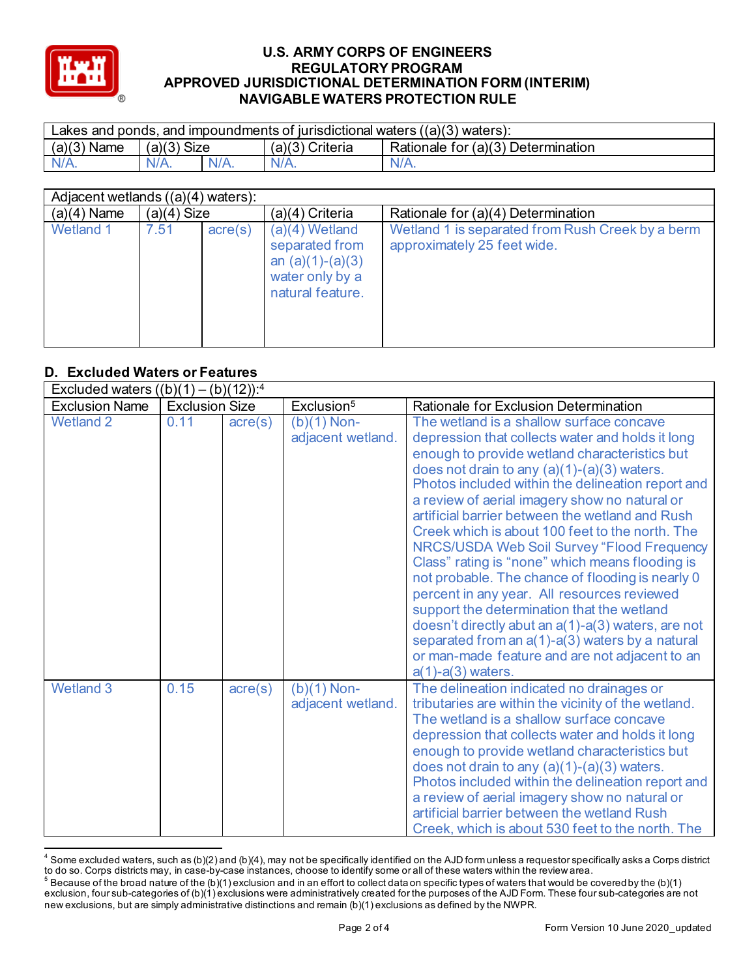

| Lakes and ponds, and impoundments of jurisdictional waters $((a)(3)$ waters): |               |         |                    |                                    |  |  |
|-------------------------------------------------------------------------------|---------------|---------|--------------------|------------------------------------|--|--|
| (a)(3)<br><sup>1</sup> Name                                                   | $(a)(3)$ Size |         | (a)(3)<br>Criteria | Rationale for (a)(3) Determination |  |  |
|                                                                               | $N/A$ .       | $N/A$ . |                    | $N/A$ .                            |  |  |

| Adjacent wetlands $((a)(4)$ waters): |               |                  |                                                                                                 |                                                                                 |  |  |
|--------------------------------------|---------------|------------------|-------------------------------------------------------------------------------------------------|---------------------------------------------------------------------------------|--|--|
| $(a)(4)$ Name                        | $(a)(4)$ Size |                  | (a)(4) Criteria                                                                                 | Rationale for (a)(4) Determination                                              |  |  |
| <b>Wetland 1</b>                     | 7.51          | $\text{acre}(s)$ | $(a)(4)$ Wetland<br>separated from<br>an $(a)(1)-(a)(3)$<br>water only by a<br>natural feature. | Wetland 1 is separated from Rush Creek by a berm<br>approximately 25 feet wide. |  |  |

## **D. Excluded Waters or Features**

| Excluded waters $((b)(1) - (b)(12))$ : <sup>4</sup> |                       |                  |                                    |                                                                                                                                                                                                                                                                                                                                                                                                                                                                                                                                                                                                                                                                                                                                                                                                                                                |  |
|-----------------------------------------------------|-----------------------|------------------|------------------------------------|------------------------------------------------------------------------------------------------------------------------------------------------------------------------------------------------------------------------------------------------------------------------------------------------------------------------------------------------------------------------------------------------------------------------------------------------------------------------------------------------------------------------------------------------------------------------------------------------------------------------------------------------------------------------------------------------------------------------------------------------------------------------------------------------------------------------------------------------|--|
| <b>Exclusion Name</b>                               | <b>Exclusion Size</b> |                  | Exclusion <sup>5</sup>             | <b>Rationale for Exclusion Determination</b>                                                                                                                                                                                                                                                                                                                                                                                                                                                                                                                                                                                                                                                                                                                                                                                                   |  |
| <b>Wetland 2</b>                                    | 0.11                  | $\text{acre}(s)$ | $(b)(1)$ Non-<br>adjacent wetland. | The wetland is a shallow surface concave<br>depression that collects water and holds it long<br>enough to provide wetland characteristics but<br>does not drain to any $(a)(1)-(a)(3)$ waters.<br>Photos included within the delineation report and<br>a review of aerial imagery show no natural or<br>artificial barrier between the wetland and Rush<br>Creek which is about 100 feet to the north. The<br>NRCS/USDA Web Soil Survey "Flood Frequency<br>Class" rating is "none" which means flooding is<br>not probable. The chance of flooding is nearly 0<br>percent in any year. All resources reviewed<br>support the determination that the wetland<br>doesn't directly abut an a(1)-a(3) waters, are not<br>separated from an a(1)-a(3) waters by a natural<br>or man-made feature and are not adjacent to an<br>$a(1)-a(3)$ waters. |  |
| <b>Wetland 3</b>                                    | 0.15                  | $\text{acre}(s)$ | $(b)(1)$ Non-<br>adjacent wetland. | The delineation indicated no drainages or<br>tributaries are within the vicinity of the wetland.<br>The wetland is a shallow surface concave<br>depression that collects water and holds it long<br>enough to provide wetland characteristics but<br>does not drain to any $(a)(1)-(a)(3)$ waters.<br>Photos included within the delineation report and<br>a review of aerial imagery show no natural or<br>artificial barrier between the wetland Rush<br>Creek, which is about 530 feet to the north. The                                                                                                                                                                                                                                                                                                                                    |  |

 $^4$  Some excluded waters, such as (b)(2) and (b)(4), may not be specifically identified on the AJD form unless a requestor specifically asks a Corps district to do so. Corps districts may, in case-by-case instances, choose to identify some or all of these waters within the review area.

 $^5$  Because of the broad nature of the (b)(1) exclusion and in an effort to collect data on specific types of waters that would be covered by the (b)(1) exclusion, four sub-categories of (b)(1) exclusions were administratively created for the purposes of the AJD Form. These four sub-categories are not new exclusions, but are simply administrative distinctions and remain (b)(1) exclusions as defined by the NWPR.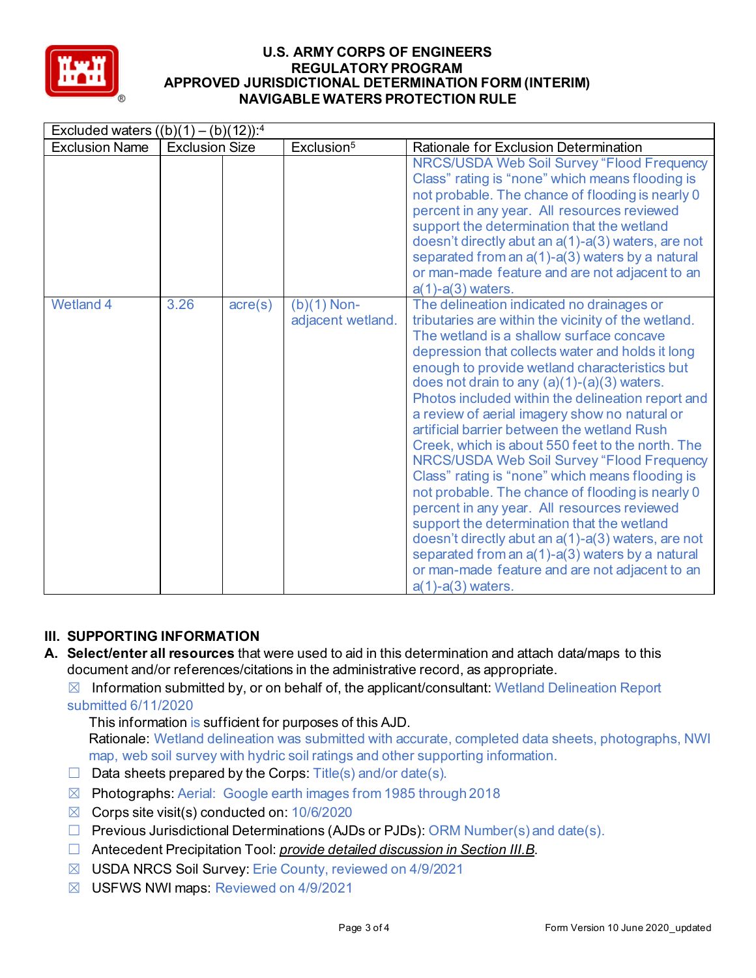

| Excluded waters $((b)(1) - (b)(12))$ : <sup>4</sup> |                       |                  |                                    |                                                                                                                                                                                                                                                                                                                                                                                                                                                                                                                                                                                                                                                                                                                                                                                                                                                                                                                                                        |  |  |
|-----------------------------------------------------|-----------------------|------------------|------------------------------------|--------------------------------------------------------------------------------------------------------------------------------------------------------------------------------------------------------------------------------------------------------------------------------------------------------------------------------------------------------------------------------------------------------------------------------------------------------------------------------------------------------------------------------------------------------------------------------------------------------------------------------------------------------------------------------------------------------------------------------------------------------------------------------------------------------------------------------------------------------------------------------------------------------------------------------------------------------|--|--|
| <b>Exclusion Name</b>                               | <b>Exclusion Size</b> |                  | Exclusion <sup>5</sup>             | Rationale for Exclusion Determination                                                                                                                                                                                                                                                                                                                                                                                                                                                                                                                                                                                                                                                                                                                                                                                                                                                                                                                  |  |  |
|                                                     |                       |                  |                                    | NRCS/USDA Web Soil Survey "Flood Frequency<br>Class" rating is "none" which means flooding is<br>not probable. The chance of flooding is nearly 0<br>percent in any year. All resources reviewed<br>support the determination that the wetland<br>doesn't directly abut an a(1)-a(3) waters, are not<br>separated from an a(1)-a(3) waters by a natural<br>or man-made feature and are not adjacent to an<br>$a(1)-a(3)$ waters.                                                                                                                                                                                                                                                                                                                                                                                                                                                                                                                       |  |  |
| <b>Wetland 4</b>                                    | 3.26                  | $\text{acre}(s)$ | $(b)(1)$ Non-<br>adjacent wetland. | The delineation indicated no drainages or<br>tributaries are within the vicinity of the wetland.<br>The wetland is a shallow surface concave<br>depression that collects water and holds it long<br>enough to provide wetland characteristics but<br>does not drain to any $(a)(1)-(a)(3)$ waters.<br>Photos included within the delineation report and<br>a review of aerial imagery show no natural or<br>artificial barrier between the wetland Rush<br>Creek, which is about 550 feet to the north. The<br><b>NRCS/USDA Web Soil Survey "Flood Frequency</b><br>Class" rating is "none" which means flooding is<br>not probable. The chance of flooding is nearly 0<br>percent in any year. All resources reviewed<br>support the determination that the wetland<br>doesn't directly abut an a(1)-a(3) waters, are not<br>separated from an a(1)-a(3) waters by a natural<br>or man-made feature and are not adjacent to an<br>$a(1)-a(3)$ waters. |  |  |

# **III. SUPPORTING INFORMATION**

**A. Select/enter all resources** that were used to aid in this determination and attach data/maps to this document and/or references/citations in the administrative record, as appropriate.

 $\boxtimes$  Information submitted by, or on behalf of, the applicant/consultant: Wetland Delineation Report submitted 6/11/2020

This information is sufficient for purposes of this AJD.

Rationale: Wetland delineation was submitted with accurate, completed data sheets, photographs, NWI map, web soil survey with hydric soil ratings and other supporting information.

- $\Box$  Data sheets prepared by the Corps: Title(s) and/or date(s).
- ☒ Photographs: Aerial: Google earth images from 1985 through 2018
- $\boxtimes$  Corps site visit(s) conducted on: 10/6/2020
- ☐ Previous Jurisdictional Determinations (AJDs or PJDs): ORM Number(s) and date(s).
- ☐ Antecedent Precipitation Tool: *provide detailed discussion in Section III.B*.
- ☒ USDA NRCS Soil Survey: Erie County, reviewed on 4/9/2021
- ☒ USFWS NWI maps: Reviewed on 4/9/2021